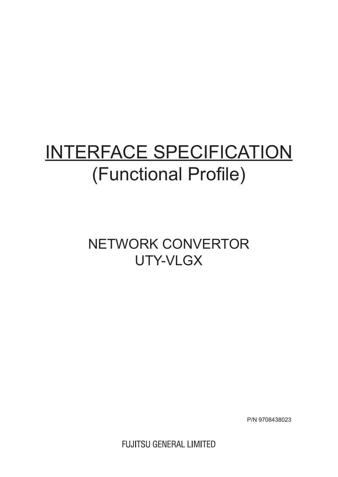# INTERFACE SPECIFICATION (Functional Profile)

## NETWORK CONVERTOR UTY-VLGX

P/N 9708438023

**FUJITSU GENERAL LIMITED**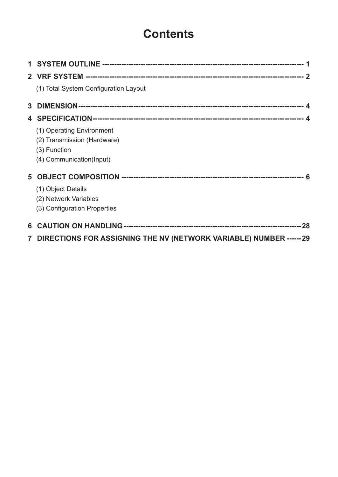## **Contents**

| (1) Total System Configuration Layout                                                                |  |
|------------------------------------------------------------------------------------------------------|--|
|                                                                                                      |  |
|                                                                                                      |  |
| (1) Operating Environment<br>(2) Transmission (Hardware)<br>(3) Function<br>(4) Communication(Input) |  |
|                                                                                                      |  |
| (1) Object Details<br>(2) Network Variables<br>(3) Configuration Properties                          |  |
|                                                                                                      |  |
| 7 DIRECTIONS FOR ASSIGNING THE NV (NETWORK VARIABLE) NUMBER ------29                                 |  |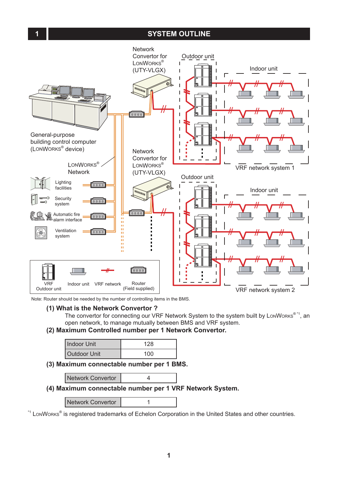#### **1 SYSTEM OUTLINE**

<span id="page-2-0"></span>

Note: Router should be needed by the number of controlling items in the BMS.

#### **(1) What is the Network Convertor ?**

The convertor for connecting our VRF Network System to the system built by LonWorks<sup>®\*1</sup>, an open network, to manage mutually between BMS and VRF system.

#### **(2) Maximum Controlled number per 1 Network Convertor.**

| Indoor Unit         | 128 |
|---------------------|-----|
| <b>Outdoor Unit</b> | 100 |

**(3) Maximum connectable number per 1 BMS.** 

#### **(4) Maximum connectable number per 1 VRF Network System.**

Network Convertor | 1

\*1 LonWorks® is registered trademarks of Echelon Corporation in the United States and other countries.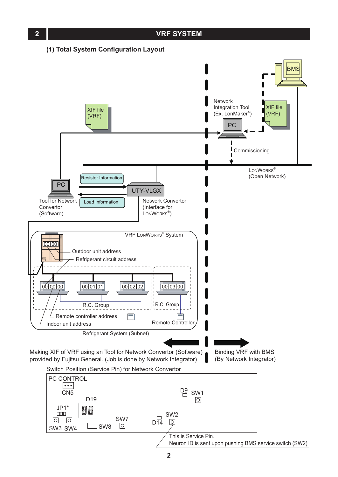<span id="page-3-0"></span>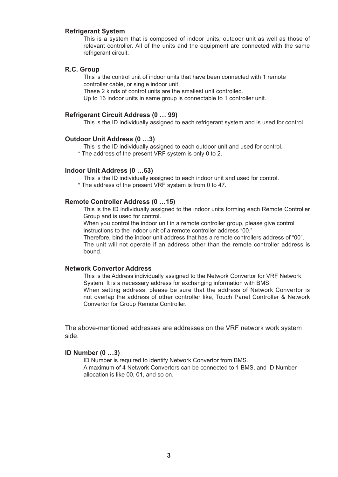#### **Refrigerant System**

This is a system that is composed of indoor units, outdoor unit as well as those of relevant controller. All of the units and the equipment are connected with the same refrigerant circuit.

#### **R.C. Group**

This is the control unit of indoor units that have been connected with 1 remote controller cable, or single indoor unit.

These 2 kinds of control units are the smallest unit controlled.

Up to 16 indoor units in same group is connectable to 1 controller unit.

#### **Refrigerant Circuit Address (0 … 99)**

This is the ID individually assigned to each refrigerant system and is used for control.

#### **Outdoor Unit Address (0 …3)**

This is the ID individually assigned to each outdoor unit and used for control.

\* The address of the present VRF system is only 0 to 2.

#### **Indoor Unit Address (0 …63)**

This is the ID individually assigned to each indoor unit and used for control.

\* The address of the present VRF system is from 0 to 47.

#### **Remote Controller Address (0 …15)**

This is the ID individually assigned to the indoor units forming each Remote Controller Group and is used for control.

When you control the indoor unit in a remote controller group, please give control instructions to the indoor unit of a remote controller address "00."

Therefore, bind the indoor unit address that has a remote controllers address of "00". The unit will not operate if an address other than the remote controller address is bound.

#### **Network Convertor Address**

This is the Address individually assigned to the Network Convertor for VRF Network System. It is a necessary address for exchanging information with BMS. When setting address, please be sure that the address of Network Convertor is not overlap the address of other controller like, Touch Panel Controller & Network Convertor for Group Remote Controller.

The above-mentioned addresses are addresses on the VRF network work system side.

#### **ID Number (0 …3)**

ID Number is required to identify Network Convertor from BMS. A maximum of 4 Network Convertors can be connected to 1 BMS, and ID Number allocation is like 00, 01, and so on.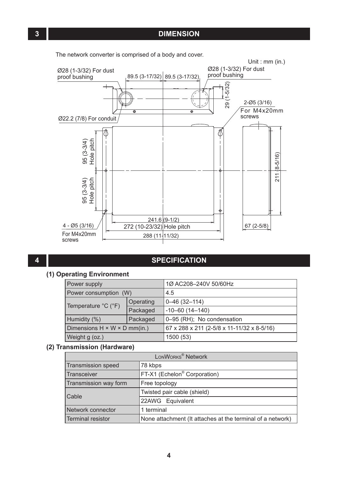

#### **4 SPECIFICATION**

#### **(1) Operating Environment**

| Power supply                             |           | 1Ø AC208-240V 50/60Hz                      |
|------------------------------------------|-----------|--------------------------------------------|
| Power consumption (W)                    |           | 4.5                                        |
| Temperature $°C$ ( $°F$ )                | Operating | $0 - 46$ (32-114)                          |
|                                          | Packaged  | $-10-60(14-140)$                           |
| Humidity (%)                             | Packaged  | 0-95 (RH); No condensation                 |
| Dimensions $H \times W \times D$ mm(in.) |           | 67 x 288 x 211 (2-5/8 x 11-11/32 x 8-5/16) |
| Weight g (oz.)                           |           | 1500 (53)                                  |

#### **(2) Transmission (Hardware)**

| LONWORKS <sup>®</sup> Network |                                                            |  |  |  |
|-------------------------------|------------------------------------------------------------|--|--|--|
| Transmission speed            | 78 kbps                                                    |  |  |  |
| <b>Transceiver</b>            | FT-X1 (Echelon <sup>®</sup> Corporation)                   |  |  |  |
| Transmission way form         | Free topology                                              |  |  |  |
| Cable                         | Twisted pair cable (shield)                                |  |  |  |
|                               | 22AWG Equivalent                                           |  |  |  |
| Network connector             | 1 terminal                                                 |  |  |  |
| Terminal resistor             | None attachment (It attaches at the terminal of a network) |  |  |  |

<span id="page-5-0"></span>The network converter is comprised of a body and cover.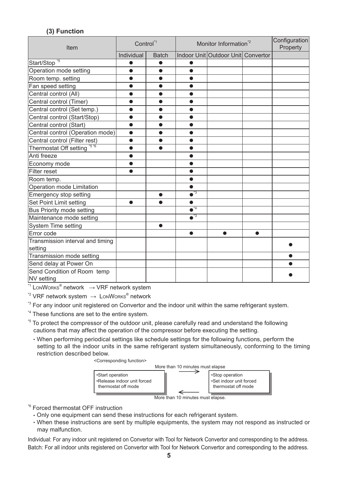#### **(3) Function**

<span id="page-6-0"></span>

| Item                                      | Control <sup>*1</sup> |              | Monitor Information <sup>2</sup>   |                                    |           | Configuration<br>Property |
|-------------------------------------------|-----------------------|--------------|------------------------------------|------------------------------------|-----------|---------------------------|
|                                           | Individual            | <b>Batch</b> |                                    | Indoor Unit Outdoor Unit Convertor |           |                           |
| Start/Stop <sup>*5</sup>                  | ●                     | ●            | æ                                  |                                    |           |                           |
| Operation mode setting                    | $\bullet$             | $\bullet$    | $\bullet$                          |                                    |           |                           |
| Room temp. setting                        | $\bullet$             | $\bullet$    | $\bullet$                          |                                    |           |                           |
| Fan speed setting                         |                       |              |                                    |                                    |           |                           |
| Central control (All)                     | $\bullet$             | $\bullet$    | ●                                  |                                    |           |                           |
| Central control (Timer)                   | $\bullet$             | $\bullet$    | $\bullet$                          |                                    |           |                           |
| Central control (Set temp.)               | $\bullet$             | $\bullet$    | $\bullet$                          |                                    |           |                           |
| Central control (Start/Stop)              | $\bullet$             | ●            | ●                                  |                                    |           |                           |
| Central control (Start)                   | ●                     |              |                                    |                                    |           |                           |
| Central control (Operation mode)          | $\bullet$             | $\bullet$    | $\bullet$                          |                                    |           |                           |
| Central control (Filter rest)             | $\bullet$             | $\bullet$    | $\bullet$                          |                                    |           |                           |
| Thermostat Off setting *5 *6              | $\bullet$             |              | ●                                  |                                    |           |                           |
| Anti freeze                               | $\bullet$             |              | $\bullet$                          |                                    |           |                           |
| Economy mode                              | $\bullet$             |              |                                    |                                    |           |                           |
| Filter reset                              |                       |              | A                                  |                                    |           |                           |
| Room temp.                                |                       |              | ●                                  |                                    |           |                           |
| Operation mode Limitation                 |                       |              | $\bullet$                          |                                    |           |                           |
| Emergency stop setting                    |                       | ●            | $\overline{\bullet}$ <sup>*3</sup> |                                    |           |                           |
| Set Point Limit setting                   | $\bullet$             | $\bullet$    | $\bullet$                          |                                    |           |                           |
| Bus Priority mode setting                 |                       |              | $\bullet$ <sup>*4</sup>            |                                    |           |                           |
| Maintenance mode setting                  |                       |              | $\overline{\bullet}$ <sup>73</sup> |                                    |           |                           |
| System Time setting                       |                       | $\bullet$    |                                    |                                    |           |                           |
| Error code                                |                       |              | $\bullet$                          | $\bullet$                          | $\bullet$ |                           |
| Transmission interval and timing          |                       |              |                                    |                                    |           |                           |
| setting                                   |                       |              |                                    |                                    |           |                           |
| Transmission mode setting                 |                       |              |                                    |                                    |           |                           |
| Send delay at Power On                    |                       |              |                                    |                                    |           |                           |
| Send Condition of Room temp<br>NV setting |                       |              |                                    |                                    |           |                           |

 $11$  LonWorks<sup>®</sup> network  $\rightarrow$  VRF network system

 $\sqrt[2]{2}$  VRF network system  $\rightarrow$  LonWorks<sup>®</sup> network

<sup>\*3</sup> For any indoor unit registered on Convertor and the indoor unit within the same refrigerant system.

<sup>\*4</sup> These functions are set to the entire system.

- <sup>5</sup> To protect the compressor of the outdoor unit, please carefully read and understand the following cautions that may affect the operation of the compressor before executing the setting.
	- When performing periodical settings like schedule settings for the following functions, perform the setting to all the indoor units in the same refrigerant system simultaneously, conforming to the timing restriction described below.

<Corresponding function>



More than 10 minutes must elapse.

\*6 Forced thermostat OFF instruction

- Only one equipment can send these instructions for each refrigerant system.
- When these instructions are sent by multiple equipments, the system may not respond as instructed or may malfunction.

Individual: For any indoor unit registered on Convertor with Tool for Network Convertor and corresponding to the address. Batch: For all indoor units registered on Convertor with Tool for Network Convertor and corresponding to the address.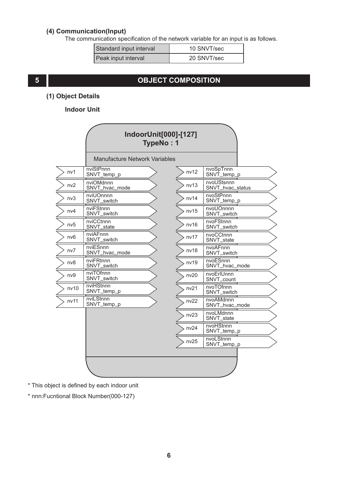#### <span id="page-7-0"></span>**(4) Communication(Input)**

The communication specification of the network variable for an input is as follows.

| Standard input interval | 10 SNVT/sec |
|-------------------------|-------------|
| Peak input interval     | 20 SNVT/sec |

### **5 OBJECT COMPOSITION**

#### **(1) Object Details**

#### **Indoor Unit**

|                 | IndoorUnit[000]-[127]<br>TypeNo: 1   |      |                                |
|-----------------|--------------------------------------|------|--------------------------------|
|                 | <b>Manufacture Network Variables</b> |      |                                |
| nv1             | nviStPnnn<br>SNVT temp p             | nv12 | nvoSpTnnn<br>SNVT_temp_p       |
| nv2             | nviOMdnnn<br>SNVT_hvac_mode          | nv13 | nvoUStsnnn<br>SNVT_hvac_status |
| nv3             | nviUOnnnn<br>SNVT_switch             | nv14 | nvoStPnnn<br>SNVT_temp_p       |
| nv4             | nviFStnnn<br>SNVT_switch             | nv15 | nvoUOnnnn<br>SNVT_switch       |
| nv5             | nviCCtnnn<br>SNVT_state              | nv16 | nvoFStnnn<br>SNVT_switch       |
| nv <sub>6</sub> | nviAFnnn<br>SNVT_switch              | nv17 | nvoCCtnnn<br>SNVT_state        |
| nv7             | nviESnnn<br>SNVT_hvac_mode           | nv18 | nvoAFnnn<br>SNVT_switch        |
| nv8             | nviFRtnnn<br>SNVT_switch             | nv19 | nvoESnnn<br>SNVT_hvac_mode     |
| nv9             | nviTOfnnn<br>SNVT_switch             | nv20 | nvoErIUnnn<br>SNVT_count       |
| nv10            | nviHStnnn<br>SNVT_temp_p             | nv21 | nvoTOfnnn<br>SNVT_switch       |
| nv11            | nviLStnnn<br>SNVT_temp_p             | nv22 | nvoAMdnnn<br>SNVT_hvac_mode    |
|                 |                                      | nv23 | nvoLMdnnn<br>SNVT_state        |
|                 |                                      | nv24 | nvoHStnnn<br>SNVT_temp_p       |
|                 |                                      | nv25 | nvoLStnnn<br>SNVT_temp_p       |
|                 |                                      |      |                                |

\* This object is defined by each indoor unit

\* nnn:Fucntional Block Number(000-127)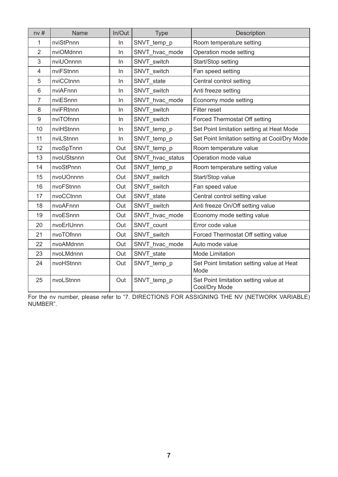| nv#            | Name       | In/Out | <b>Type</b>      | Description                                            |
|----------------|------------|--------|------------------|--------------------------------------------------------|
| 1              | nviStPnnn  | In     | SNVT temp p      | Room temperature setting                               |
| 2              | nviOMdnnn  | In     | SNVT hvac mode   | Operation mode setting                                 |
| 3              | nviUOnnnn  | In     | SNVT switch      | Start/Stop setting                                     |
| $\overline{4}$ | nviFStnnn  | In     | SNVT_switch      | Fan speed setting                                      |
| 5              | nviCCtnnn  | In     | SNVT_state       | Central control setting                                |
| 6              | nviAFnnn   | In     | SNVT switch      | Anti freeze setting                                    |
| $\overline{7}$ | nviESnnn   | In     | SNVT_hvac_mode   | Economy mode setting                                   |
| 8              | nviFRtnnn  | In     | SNVT switch      | Filter reset                                           |
| 9              | nviTOfnnn  | In     | SNVT_switch      | Forced Thermostat Off setting                          |
| 10             | nviHStnnn  | In     | SNVT temp p      | Set Point limitation setting at Heat Mode              |
| 11             | nviLStnnn  | In     | SNVT_temp_p      | Set Point limitation setting at Cool/Dry Mode          |
| 12             | nvoSpTnnn  | Out    | SNVT temp p      | Room temperature value                                 |
| 13             | nvoUStsnnn | Out    | SNVT hvac status | Operation mode value                                   |
| 14             | nvoStPnnn  | Out    | SNVT_temp_p      | Room temperature setting value                         |
| 15             | nvoUOnnnn  | Out    | SNVT switch      | Start/Stop value                                       |
| 16             | nvoFStnnn  | Out    | SNVT_switch      | Fan speed value                                        |
| 17             | nvoCCtnnn  | Out    | SNVT state       | Central control setting value                          |
| 18             | nvoAFnnn   | Out    | SNVT switch      | Anti freeze On/Off setting value                       |
| 19             | nvoESnnn   | Out    | SNVT hvac mode   | Economy mode setting value                             |
| 20             | nvoErIUnnn | Out    | SNVT count       | Error code value                                       |
| 21             | nvoTOfnnn  | Out    | SNVT switch      | Forced Thermostat Off setting value                    |
| 22             | nvoAMdnnn  | Out    | SNVT hvac mode   | Auto mode value                                        |
| 23             | nvoLMdnnn  | Out    | SNVT_state       | <b>Mode Limitation</b>                                 |
| 24             | nvoHStnnn  | Out    | SNVT_temp_p      | Set Point limitation setting value at Heat<br>Mode     |
| 25             | nvoLStnnn  | Out    | SNVT temp p      | Set Point limitation setting value at<br>Cool/Dry Mode |

For the nv number, please refer to "7. DIRECTIONS FOR ASSIGNING THE NV (NETWORK VARIABLE) NUMBER".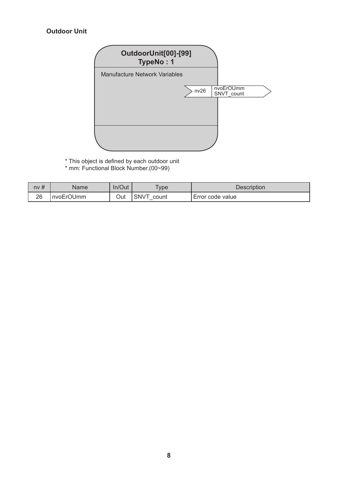#### **Outdoor Unit**



- \* This object is defined by each outdoor unit
- \* mm: Functional Block Number.(00~99)

| nv# | Name      | In/Out | <b>vpe</b>    | Description      |
|-----|-----------|--------|---------------|------------------|
| 26  | nvoErOUmm | Out    | SNVT<br>count | Error code value |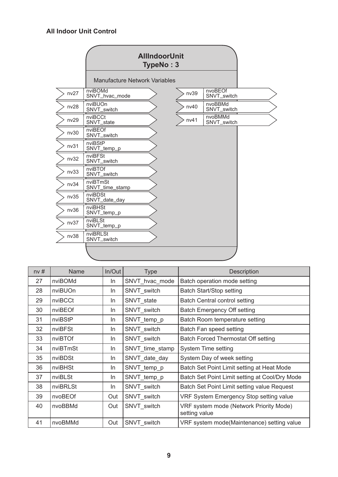#### **All Indoor Unit Control**

|      | Manufacture Network Variables |      |                        |  |
|------|-------------------------------|------|------------------------|--|
| nv27 | nviBOMd<br>SNVT_hvac_mode     | nv39 | nvoBEOf<br>SNVT_switch |  |
| nv28 | nviBUOn<br>SNVT_switch        | nv40 | nvoBBMd<br>SNVT_switch |  |
| nv29 | nviBCCt<br>SNVT_state         | nv41 | nvoBMMd<br>SNVT_switch |  |
| nv30 | nviBEOf<br>SNVT_switch        |      |                        |  |
| nv31 | nviBStP<br>SNVT_temp_p        |      |                        |  |
| nv32 | nviBFSt<br>SNVT_switch        |      |                        |  |
| nv33 | nviBTOf<br>SNVT_switch        |      |                        |  |
| nv34 | nviBTmSt<br>SNVT_time_stamp   |      |                        |  |
| nv35 | nviBDSt<br>SNVT_date_day      |      |                        |  |
| nv36 | nviBHSt<br>SNVT_temp_p        |      |                        |  |
| nv37 | nviBLSt<br>SNVT_temp_p        |      |                        |  |
| nv38 | nviBRLSt<br>SNVT_switch       |      |                        |  |
|      |                               |      |                        |  |

| nv# | Name     | In/Out | <b>Type</b>     | Description                                              |
|-----|----------|--------|-----------------|----------------------------------------------------------|
| 27  | nviBOMd  | In.    | SNVT_hvac_mode  | Batch operation mode setting                             |
| 28  | nviBUOn  | In.    | SNVT switch     | Batch Start/Stop setting                                 |
| 29  | nviBCCt  | In.    | SNVT state      | Batch Central control setting                            |
| 30  | nviBEOf  | In.    | SNVT_switch     | Batch Emergency Off setting                              |
| 31  | nviBStP  | In.    | SNVT temp p     | Batch Room temperature setting                           |
| 32  | nviBFSt  | In.    | SNVT switch     | Batch Fan speed setting                                  |
| 33  | nviBTOf  | In.    | SNVT switch     | Batch Forced Thermostat Off setting                      |
| 34  | nviBTmSt | In.    | SNVT_time_stamp | System Time setting                                      |
| 35  | nviBDSt  | In.    | SNVT_date_day   | System Day of week setting                               |
| 36  | nviBHSt  | In.    | SNVT_temp_p     | Batch Set Point Limit setting at Heat Mode               |
| 37  | nviBLSt  | In.    | SNVT temp p     | Batch Set Point Limit setting at Cool/Dry Mode           |
| 38  | nviBRLSt | In.    | SNVT switch     | Batch Set Point Limit setting value Request              |
| 39  | nvoBEOf  | Out    | SNVT switch     | VRF System Emergency Stop setting value                  |
| 40  | nvoBBMd  | Out    | SNVT switch     | VRF system mode (Network Priority Mode)<br>setting value |
| 41  | nvoBMMd  | Out    | SNVT switch     | VRF system mode(Maintenance) setting value               |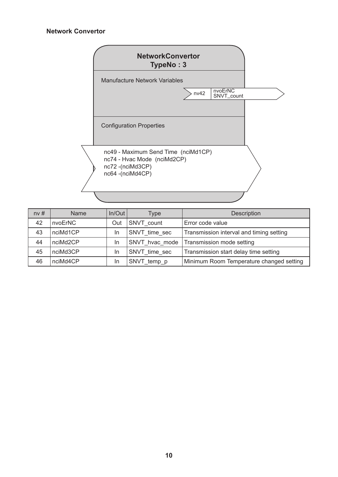#### **Network Convertor**



| nv# | <b>Name</b> | $In/O$ ut | Type           | <b>Description</b>                       |
|-----|-------------|-----------|----------------|------------------------------------------|
| 42  | nvoErNC     | Out       | SNVT count     | Error code value                         |
| 43  | nciMd1CP    | In        | SNVT time sec  | Transmission interval and timing setting |
| 44  | nciMd2CP    | In        | SNVT hvac mode | Transmission mode setting                |
| 45  | nciMd3CP    | In        | SNVT time sec  | Transmission start delay time setting    |
| 46  | nciMd4CP    | In        | SNVT_temp_p    | Minimum Room Temperature changed setting |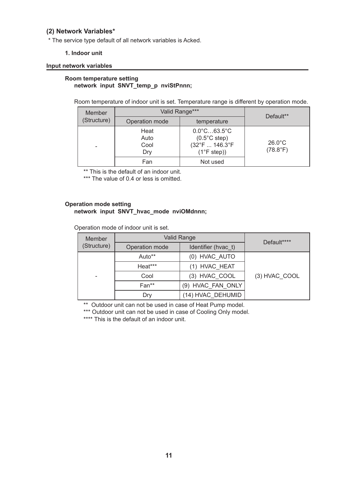#### <span id="page-12-0"></span>**(2) Network Variables\***

\* The service type default of all network variables is Acked.

#### **1. Indoor unit**

#### **Input network variables**

#### **Room temperature setting network input SNVT\_temp\_p nviStPnnn;**

Room temperature of indoor unit is set. Temperature range is different by operation mode.

| Member      | Valid Range***              | Default**                                                                                             |                                       |  |
|-------------|-----------------------------|-------------------------------------------------------------------------------------------------------|---------------------------------------|--|
| (Structure) | Operation mode              | temperature                                                                                           |                                       |  |
|             | Heat<br>Auto<br>Cool<br>Dry | $0.0^{\circ}$ C63.5 $^{\circ}$ C<br>$(0.5^{\circ}$ C step)<br>(32°F  146.3°F<br>$(1^{\circ}$ F step)) | $26.0^{\circ}$ C<br>$(78.8^{\circ}F)$ |  |
|             | Fan                         | Not used                                                                                              |                                       |  |

\*\* This is the default of an indoor unit.

\*\*\* The value of 0.4 or less is omitted.

#### **Operation mode setting network input SNVT\_hvac\_mode nviOMdnnn;**

Operation mode of indoor unit is set.

| Member      | Valid Range                           | Default****       |               |
|-------------|---------------------------------------|-------------------|---------------|
| (Structure) | Identifier (hvac t)<br>Operation mode |                   |               |
|             | Auto**                                | (0) HVAC AUTO     | (3) HVAC COOL |
|             | Heat***                               | (1) HVAC HEAT     |               |
| -           | Cool                                  | (3) HVAC COOL     |               |
|             | Fan**                                 | (9) HVAC FAN ONLY |               |
|             | Dry                                   | (14) HVAC DEHUMID |               |

\*\* Outdoor unit can not be used in case of Heat Pump model.

\*\*\* Outdoor unit can not be used in case of Cooling Only model.

\*\*\*\* This is the default of an indoor unit.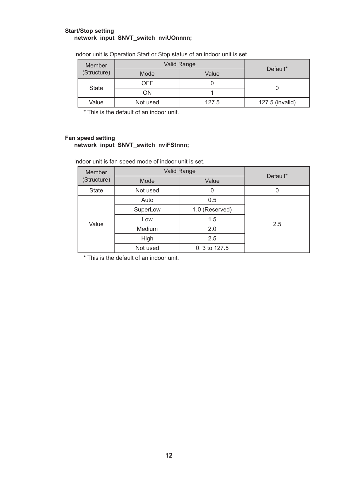#### **Start/Stop setting network input SNVT\_switch nviUOnnnn;**

| Member       |          | Valid Range | Default*        |
|--------------|----------|-------------|-----------------|
| (Structure)  | Mode     | Value       |                 |
|              | OFF      |             |                 |
| <b>State</b> | ON       |             |                 |
| Value        | Not used | 127.5       | 127.5 (invalid) |

Indoor unit is Operation Start or Stop status of an indoor unit is set.

\* This is the default of an indoor unit.

#### **Fan speed setting network input SNVT\_switch nviFStnnn;**

Indoor unit is fan speed mode of indoor unit is set.

| <b>Member</b> | <b>Valid Range</b> |                |          |  |
|---------------|--------------------|----------------|----------|--|
| (Structure)   | Mode               | Value          | Default* |  |
| <b>State</b>  | Not used           | 0              | 0        |  |
|               | Auto               | 0.5            |          |  |
|               | SuperLow           | 1.0 (Reserved) |          |  |
| Value         | Low                | 1.5            | 2.5      |  |
|               | <b>Medium</b>      | 2.0            |          |  |
|               | High               | 2.5            |          |  |
|               | Not used           | 0, 3 to 127.5  |          |  |

\* This is the default of an indoor unit.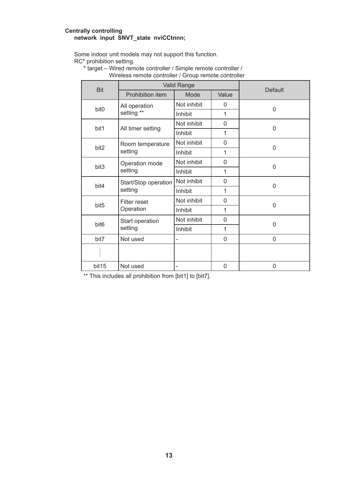#### **Centrally controlling network input SNVT\_state nviCCtnnn;**

Some indoor unit models may not support this function. RC\* prohibition setting.

\* target – Wired remote controller / Simple remote controller /

| <b>Bit</b>       | Valid Range                     |                          |              | <b>Default</b> |
|------------------|---------------------------------|--------------------------|--------------|----------------|
|                  | Prohibition item                | Mode                     | Value        |                |
| bit <sub>0</sub> | All operation                   | Not inhibit              | 0            | $\Omega$       |
|                  | setting **                      | Inhibit                  | 1            |                |
| bit1             | All timer setting               | Not inhibit              | $\mathbf{0}$ | $\mathbf{0}$   |
|                  |                                 | Inhibit                  | 1            |                |
| bit <sub>2</sub> | Room temperature                | Not inhibit              | $\Omega$     | $\mathbf{0}$   |
|                  | setting                         | Inhibit                  | $\mathbf{1}$ |                |
| bit <sub>3</sub> | Operation mode<br>setting       | Not inhibit              | $\mathbf{0}$ | $\Omega$       |
|                  |                                 | Inhibit                  | 1            |                |
| bit4             | Start/Stop operation<br>setting | Not inhibit              | 0            | $\Omega$       |
|                  |                                 | Inhibit                  | 1            |                |
| bit <sub>5</sub> | Filter reset<br>Operation       | Not inhibit              | $\mathbf{0}$ | 0              |
|                  |                                 | Inhibit                  | 1            |                |
| bit <sub>6</sub> | Start operation<br>setting      | Not inhibit              | 0            | 0              |
|                  |                                 | Inhibit                  | 1            |                |
| bit7             | Not used                        |                          | $\Omega$     | $\Omega$       |
|                  |                                 |                          |              |                |
| bit15            | Not used                        | $\overline{\phantom{0}}$ | $\mathbf{0}$ | $\mathbf{0}$   |

Wireless remote controller / Group remote controller

\*\* This includes all prohibition from [bit1] to [bit7].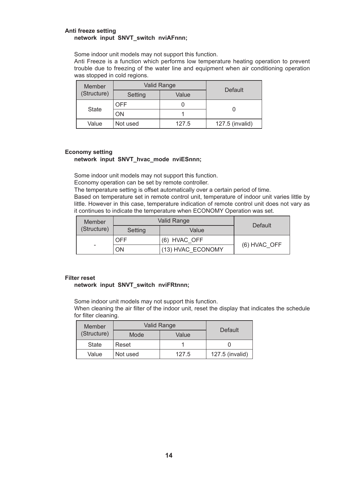#### **Anti freeze setting network input SNVT\_switch nviAFnnn;**

Some indoor unit models may not support this function.

Anti Freeze is a function which performs low temperature heating operation to prevent trouble due to freezing of the water line and equipment when air conditioning operation was stopped in cold regions.

| Member      | Valid Range |       | Default         |
|-------------|-------------|-------|-----------------|
| (Structure) | Setting     | Value |                 |
| State       | OFF         |       |                 |
|             | OΝ          |       |                 |
| Value       | Not used    | 127.5 | 127.5 (invalid) |

#### **Economy setting**

#### **network input SNVT\_hvac\_mode nviESnnn;**

Some indoor unit models may not support this function.

Economy operation can be set by remote controller.

The temperature setting is offset automatically over a certain period of time.

Based on temperature set in remote control unit, temperature of indoor unit varies little by little. However in this case, temperature indication of remote control unit does not vary as it continues to indicate the temperature when ECONOMY Operation was set.

| Member      | Valid Range |                   | Default      |
|-------------|-------------|-------------------|--------------|
| (Structure) | Setting     | Value             |              |
|             | OFF         | (6) HVAC OFF      | (6) HVAC OFF |
| -           | OΝ          | (13) HVAC ECONOMY |              |

#### **Filter reset**

#### **network input SNVT\_switch nviFRtnnn;**

Some indoor unit models may not support this function.

When cleaning the air filter of the indoor unit, reset the display that indicates the schedule for filter cleaning.

| Member      | <b>Valid Range</b> |       | Default         |  |
|-------------|--------------------|-------|-----------------|--|
| (Structure) | Mode               | Value |                 |  |
| State       | Reset              |       |                 |  |
| Value       | Not used           | 127.5 | 127.5 (invalid) |  |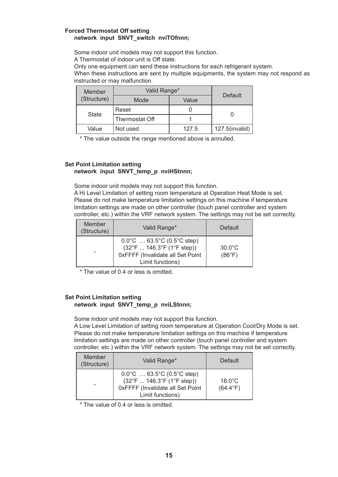#### **Forced Thermostat Off setting network input SNVT\_switch nviTOfnnn;**

Some indoor unit models may not support this function.

A Thermostat of indoor unit is Off state.

Only one equipment can send these instructions for each refrigerant system.

When these instructions are sent by multiple equipments, the system may not respond as instructed or may malfunction.

| Member      | Valid Range*   |       | Default           |
|-------------|----------------|-------|-------------------|
| (Structure) | Mode           | Value |                   |
|             | Reset          |       |                   |
| State       | Thermostat Off |       |                   |
| Value       | Not used       | 127.5 | $127.5$ (invalid) |

\* The value outside the range mentioned above is annulled.

#### **Set Point Limitation setting network input SNVT\_temp\_p nviHStnnn;**

Some indoor unit models may not support this function.

A Hi Level Limitation of setting room temperature at Operation Heat Mode is set. Please do not make temperature limitation settings on this machine if temperature limitation settings are made on other controller (touch panel controller and system controller, etc.) within the VRF network system. The settings may not be set correctly.

| Member<br>(Structure) | Valid Range*                                                                                                                                      | Default                    |
|-----------------------|---------------------------------------------------------------------------------------------------------------------------------------------------|----------------------------|
|                       | $0.0^{\circ}$ C  63.5°C (0.5°C step)<br>$(32^{\circ}F  146.3^{\circ}F (1^{\circ}F step))$<br>OxFFFF (Invalidate all Set Point<br>Limit functions) | $30.0^{\circ}$ C<br>(86°F) |

\* The value of 0.4 or less is omitted.

#### **Set Point Limitation setting network input SNVT\_temp\_p nviLStnnn;**

Some indoor unit models may not support this function.

A Low Level Limitation of setting room temperature at Operation Cool/Dry Mode is set. Please do not make temperature limitation settings on this machine if temperature limitation settings are made on other controller (touch panel controller and system controller, etc.) within the VRF network system. The settings may not be set correctly.

| Member<br>(Structure) | Valid Range*                                                                                                                                      | Default                               |
|-----------------------|---------------------------------------------------------------------------------------------------------------------------------------------------|---------------------------------------|
|                       | $0.0^{\circ}$ C  63.5°C (0.5°C step)<br>$(32^{\circ}F  146.3^{\circ}F (1^{\circ}F step))$<br>0xFFFF (Invalidate all Set Point<br>Limit functions) | $18.0^{\circ}$ C<br>$(64.4^{\circ}F)$ |

\* The value of 0.4 or less is omitted.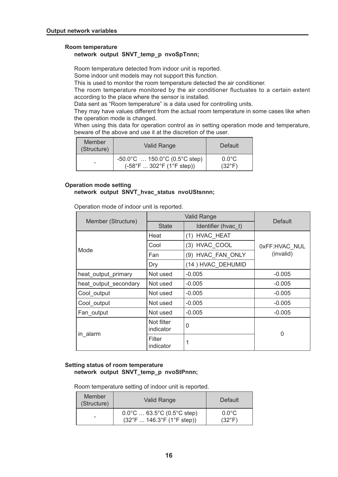#### **Room temperature**

#### **network output SNVT\_temp\_p nvoSpTnnn;**

Room temperature detected from indoor unit is reported.

Some indoor unit models may not support this function.

This is used to monitor the room temperature detected the air conditioner.

The room temperature monitored by the air conditioner fluctuates to a certain extent according to the place where the sensor is installed.

Data sent as "Room temperature" is a data used for controlling units.

They may have values different from the actual room temperature in some cases like when the operation mode is changed.

When using this data for operation control as in setting operation mode and temperature, beware of the above and use it at the discretion of the user.

| Member<br>(Structure) | Valid Range                                                                             | Default                            |
|-----------------------|-----------------------------------------------------------------------------------------|------------------------------------|
|                       | $-50.0^{\circ}$ C  150.0°C (0.5°C step)<br>$(-58^{\circ}F302^{\circ}F(1^{\circ}Fstep))$ | $0.0^{\circ}$ C<br>$(32^{\circ}F)$ |

#### **Operation mode setting network output SNVT\_hvac\_status nvoUStsnnn;**

Operation mode of indoor unit is reported.

|                       |                         | <b>Default</b>      |               |
|-----------------------|-------------------------|---------------------|---------------|
| Member (Structure)    | <b>State</b>            | Identifier (hvac t) |               |
|                       | Heat                    | (1) HVAC HEAT       |               |
| Mode                  | Cool                    | (3) HVAC COOL       | 0xFF:HVAC NUL |
|                       | Fan                     | (9) HVAC FAN ONLY   | (invalid)     |
|                       | Dry                     | (14) HVAC_DEHUMID   |               |
| heat_output_primary   | Not used                | $-0.005$            | $-0.005$      |
| heat output secondary | Not used                | $-0.005$            | $-0.005$      |
| Cool output           | Not used                | $-0.005$            | $-0.005$      |
| Cool output           | Not used                | $-0.005$            | $-0.005$      |
| Fan output            | Not used                | $-0.005$            | $-0.005$      |
|                       | Not filter<br>indicator | $\mathbf 0$         | 0             |
| in alarm              | Filter<br>indicator     |                     |               |

#### **Setting status of room temperature network output SNVT\_temp\_p nvoStPnnn;**

Room temperature setting of indoor unit is reported.

| Member<br>(Structure) | Valid Range                                                                               | Default                            |
|-----------------------|-------------------------------------------------------------------------------------------|------------------------------------|
|                       | $0.0^{\circ}$ C  63.5°C (0.5°C step)<br>$(32^{\circ}F  146.3^{\circ}F (1^{\circ}F step))$ | $0.0^{\circ}$ C<br>$(32^{\circ}F)$ |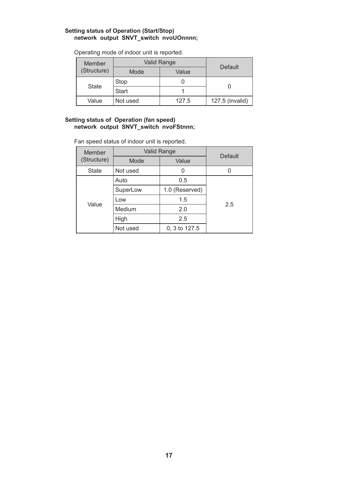#### **Setting status of Operation (Start/Stop) network output SNVT\_switch nvoUOnnnn;**

| Member      | Valid Range  |       |                 |
|-------------|--------------|-------|-----------------|
| (Structure) | Mode         | Value | Default         |
| State       | Stop         |       |                 |
|             | <b>Start</b> |       |                 |
| Value       | Not used     | 127.5 | 127.5 (invalid) |

Operating mode of indoor unit is reported.

#### **Setting status of Operation (fan speed) network output SNVT\_switch nvoFStnnn;**

Fan speed status of indoor unit is reported.

| Member      | Valid Range | Default        |     |
|-------------|-------------|----------------|-----|
| (Structure) | Mode        | Value          |     |
| State       | Not used    |                |     |
|             | Auto        | 0.5            |     |
|             | SuperLow    | 1.0 (Reserved) |     |
| Value       | Low         | 1.5            | 2.5 |
|             | Medium      | 2.0            |     |
|             | High        | 2.5            |     |
|             | Not used    | 0, 3 to 127.5  |     |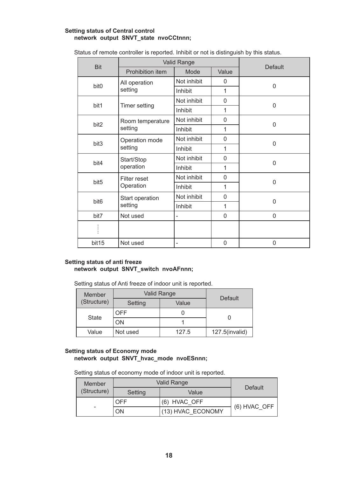#### **Setting status of Central control network output SNVT\_state nvoCCtnnn;**

| <b>Bit</b>       | Valid Range                |                          |              |                |
|------------------|----------------------------|--------------------------|--------------|----------------|
|                  | Prohibition item           | Mode                     | Value        | Default        |
| bit0             | All operation              | Not inhibit              | $\Omega$     | $\overline{0}$ |
|                  | setting                    | Inhibit                  | 1            |                |
| bit1             | Timer setting              | Not inhibit              | 0            | 0              |
|                  |                            | Inhibit                  | 1            |                |
| bit2             | Room temperature           | Not inhibit              | $\Omega$     | 0              |
|                  | setting                    | Inhibit                  | 1            |                |
| bit3             | Operation mode<br>setting  | Not inhibit              | 0            | 0              |
|                  |                            | Inhibit                  | 1            |                |
| bit4             | Start/Stop<br>operation    | Not inhibit              | 0            | $\overline{0}$ |
|                  |                            | Inhibit                  | 1            |                |
| bit <sub>5</sub> | Filter reset<br>Operation  | Not inhibit              | $\mathbf{0}$ | 0              |
|                  |                            | Inhibit                  | 1            |                |
| bit <sub>6</sub> | Start operation<br>setting | Not inhibit              | $\Omega$     | 0              |
|                  |                            | Inhibit                  | 1            |                |
| bit7             | Not used                   | $\overline{\phantom{0}}$ | $\Omega$     | 0              |
|                  |                            |                          |              |                |
| bit15            | Not used                   |                          | 0            | 0              |

Status of remote controller is reported. Inhibit or not is distinguish by this status.

#### **Setting status of anti freeze network output SNVT\_switch nvoAFnnn;**

Setting status of Anti freeze of indoor unit is reported.

| Member      | Valid Range |       | Default        |
|-------------|-------------|-------|----------------|
| (Structure) | Setting     | Value |                |
| State       | <b>OFF</b>  |       |                |
|             | ON          |       |                |
| Value       | Not used    | 127.5 | 127.5(invalid) |

#### **Setting status of Economy mode network output SNVT\_hvac\_mode nvoESnnn;**

Setting status of economy mode of indoor unit is reported.

| Member |             | Valid Range | Default           |              |
|--------|-------------|-------------|-------------------|--------------|
|        | (Structure) | Setting     | Value             |              |
|        |             | <b>OFF</b>  | (6) HVAC OFF      |              |
|        | -           | OΝ          | (13) HVAC ECONOMY | (6) HVAC OFF |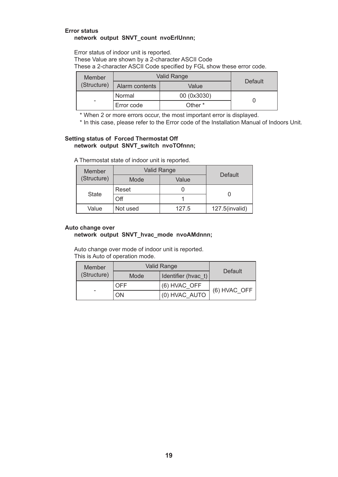#### **Error status network output SNVT\_count nvoErIUnnn;**

Error status of indoor unit is reported. These Value are shown by a 2-character ASCII Code These a 2-character ASCII Code specified by FGL show these error code.

| Member      | Valid Range    | Default     |  |
|-------------|----------------|-------------|--|
| (Structure) | Alarm contents | Value       |  |
|             | Normal         | 00 (0x3030) |  |
| -           | Error code     | Other *     |  |

\* When 2 or more errors occur, the most important error is displayed.

\* In this case, please refer to the Error code of the Installation Manual of Indoors Unit.

#### **Setting status of Forced Thermostat Off network output SNVT\_switch nvoTOfnnn;**

|  | A Thermostat state of indoor unit is reported. |  |  |  |  |  |  |
|--|------------------------------------------------|--|--|--|--|--|--|
|--|------------------------------------------------|--|--|--|--|--|--|

| Member<br>(Structure) |          | Valid Range<br>Default |                |
|-----------------------|----------|------------------------|----------------|
|                       | Mode     | Value                  |                |
| State                 | Reset    |                        |                |
|                       | Off      |                        |                |
| Value                 | Not used | 127.5                  | 127.5(invalid) |

#### **Auto change over**

#### **network output SNVT\_hvac\_mode nvoAMdnnn;**

Auto change over mode of indoor unit is reported. This is Auto of operation mode.

| Member      | <b>Valid Range</b> |                       | Default      |
|-------------|--------------------|-----------------------|--------------|
| (Structure) | Mode               | I Identifier (hvac t) |              |
|             | <b>OFF</b>         | (6) HVAC OFF          | (6) HVAC OFF |
|             | ON                 | (0) HVAC AUTO         |              |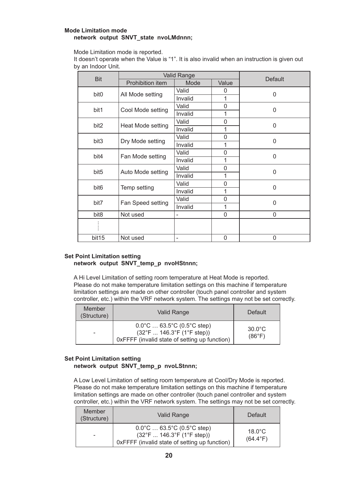#### **Mode Limitation mode network output SNVT\_state nvoLMdnnn;**

Mode Limitation mode is reported.

It doesn't operate when the Value is "1". It is also invalid when an instruction is given out by an Indoor Unit.

|                  | <b>Valid Range</b> |         | <b>Default</b> |              |
|------------------|--------------------|---------|----------------|--------------|
| <b>Bit</b>       | Prohibition item   | Mode    | Value          |              |
| bit <sub>0</sub> |                    | Valid   | 0              | $\mathbf{0}$ |
|                  | All Mode setting   | Invalid | 1              |              |
| bit1             |                    | Valid   | 0              | $\Omega$     |
|                  | Cool Mode setting  | Invalid | 1              |              |
| bit <sub>2</sub> |                    | Valid   | 0              | 0            |
|                  | Heat Mode setting  | Invalid | 1              |              |
| bit <sub>3</sub> | Dry Mode setting   | Valid   | 0              | $\Omega$     |
|                  |                    | Invalid | 1              |              |
| bit4             |                    | Valid   | $\mathbf{0}$   | $\Omega$     |
|                  | Fan Mode setting   | Invalid | 1              |              |
| bit <sub>5</sub> | Auto Mode setting  | Valid   | $\mathbf{0}$   | $\Omega$     |
|                  |                    | Invalid | 1              |              |
| bit <sub>6</sub> | Temp setting       | Valid   | 0              | $\Omega$     |
|                  |                    | Invalid | 1              |              |
| bit7             | Fan Speed setting  | Valid   | 0              | $\Omega$     |
|                  |                    | Invalid | 1              |              |
| bit8             | Not used           | ۳       | 0              | $\Omega$     |
|                  |                    |         |                |              |
|                  |                    |         |                |              |
| bit15            | Not used           | ۰       | 0              | $\Omega$     |

#### **Set Point Limitation setting network output SNVT\_temp\_p nvoHStnnn;**

A Hi Level Limitation of setting room temperature at Heat Mode is reported. Please do not make temperature limitation settings on this machine if temperature limitation settings are made on other controller (touch panel controller and system controller, etc.) within the VRF network system. The settings may not be set correctly.

| Member<br>(Structure) | Valid Range                                                                                                                                | Default                    |
|-----------------------|--------------------------------------------------------------------------------------------------------------------------------------------|----------------------------|
| ۰                     | $0.0^{\circ}$ C  63.5°C (0.5°C step)<br>$(32^{\circ}F  146.3^{\circ}F (1^{\circ}F step))$<br>OxFFFF (invalid state of setting up function) | $30.0^{\circ}$ C<br>(86°F) |

#### **Set Point Limitation setting network output SNVT\_temp\_p nvoLStnnn;**

A Low Level Limitation of setting room temperature at Cool/Dry Mode is reported. Please do not make temperature limitation settings on this machine if temperature limitation settings are made on other controller (touch panel controller and system controller, etc.) within the VRF network system. The settings may not be set correctly.

| Member<br>(Structure) | Valid Range                                                                                                                                | Default                               |
|-----------------------|--------------------------------------------------------------------------------------------------------------------------------------------|---------------------------------------|
| -                     | $0.0^{\circ}$ C  63.5°C (0.5°C step)<br>$(32^{\circ}F  146.3^{\circ}F (1^{\circ}F$ step))<br>OxFFFF (invalid state of setting up function) | $18.0^{\circ}$ C<br>$(64.4^{\circ}F)$ |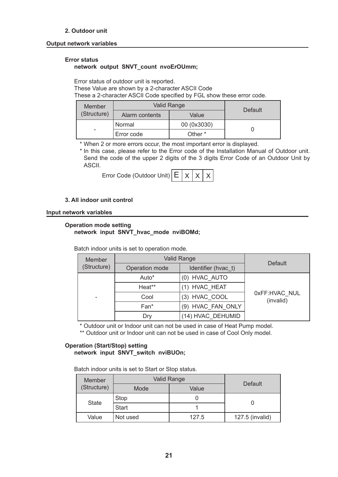#### **2. Outdoor unit**

#### **Output network variables**

#### **Error status**

#### **network output SNVT\_count nvoErOUmm;**

Error status of outdoor unit is reported.

These Value are shown by a 2-character ASCII Code

These a 2-character ASCII Code specified by FGL show these error code.

| Member<br>(Structure) | Valid Range    | Default     |  |
|-----------------------|----------------|-------------|--|
|                       | Alarm contents | Value       |  |
| -                     | Normal         | 00 (0x3030) |  |
|                       | Error code     | Other *     |  |

\* When 2 or more errors occur, the most important error is displayed.

\* In this case, please refer to the Error code of the Installation Manual of Outdoor unit. Send the code of the upper 2 digits of the 3 digits Error Code of an Outdoor Unit by ASCII.

| Error Code (Outdoor Unit) $E \mid x \mid x \mid x$ |  |  |  |  |  |
|----------------------------------------------------|--|--|--|--|--|
|----------------------------------------------------|--|--|--|--|--|

#### **3. All indoor unit control**

#### **Input network variables**

#### **Operation mode setting network input SNVT\_hvac\_mode nviBOMd;**

| Member      | <b>Valid Range</b> |                     |                            |
|-------------|--------------------|---------------------|----------------------------|
| (Structure) | Operation mode     | Identifier (hvac_t) | Default                    |
|             | Auto*              | (0) HVAC_AUTO       |                            |
|             | Heat**             | (1) HVAC HEAT       |                            |
|             | Cool               | (3) HVAC COOL       | 0xFF:HVAC NUL<br>(invalid) |
|             | Fan*               | (9) HVAC_FAN_ONLY   |                            |
|             | Dry                | (14) HVAC DEHUMID   |                            |

Batch indoor units is set to operation mode.

\* Outdoor unit or Indoor unit can not be used in case of Heat Pump model.

\*\* Outdoor unit or Indoor unit can not be used in case of Cool Only model.

#### **Operation (Start/Stop) setting network input SNVT\_switch nviBUOn;**

Batch indoor units is set to Start or Stop status.

| <b>Member</b> | Valid Range |       | Default         |  |
|---------------|-------------|-------|-----------------|--|
| (Structure)   | Mode        | Value |                 |  |
| State         | Stop        |       |                 |  |
|               | Start       |       |                 |  |
| Value         | Not used    | 127.5 | 127.5 (invalid) |  |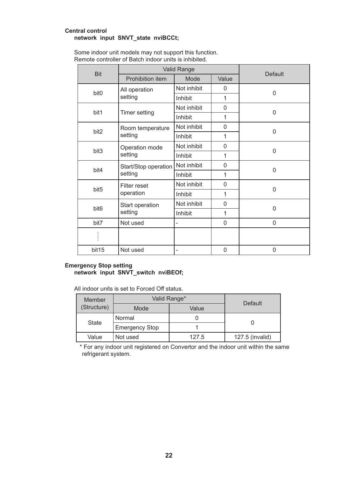#### **Central control network input SNVT\_state nviBCCt;**

| <b>Bit</b>       | Valid Range                     |                |              | Default      |
|------------------|---------------------------------|----------------|--------------|--------------|
|                  | Prohibition item                | Mode           | Value        |              |
| bit <sub>0</sub> | All operation                   | Not inhibit    | 0            | $\Omega$     |
|                  | setting                         | Inhibit        | 1            |              |
|                  |                                 | Not inhibit    | $\mathbf{0}$ | $\mathbf{0}$ |
| bit1             | Timer setting                   | Inhibit        | 1            |              |
| bit2             | Room temperature                | Not inhibit    | 0            |              |
|                  | setting                         | Inhibit        | 1            | 0            |
| bit <sub>3</sub> | Operation mode<br>setting       | Not inhibit    | $\Omega$     | $\mathbf{0}$ |
|                  |                                 | Inhibit        | 1            |              |
| bit4             | Start/Stop operation<br>setting | Not inhibit    | $\mathbf{0}$ | $\Omega$     |
|                  |                                 | Inhibit        | $\mathbf{1}$ |              |
|                  | Filter reset                    | Not inhibit    | 0            | $\Omega$     |
| bit <sub>5</sub> | operation                       | Inhibit        | 1            |              |
|                  | Start operation<br>setting      | Not inhibit    | $\Omega$     | $\Omega$     |
| bit <sub>6</sub> |                                 | Inhibit        | 1            |              |
| bit7             | Not used                        | $\overline{a}$ | 0            | 0            |
|                  |                                 |                |              |              |
| bit15            | Not used                        | -              | 0            | $\mathbf{0}$ |

Some indoor unit models may not support this function. Remote controller of Batch indoor units is inhibited.

#### **Emergency Stop setting network input SNVT\_switch nviBEOf;**

All indoor units is set to Forced Off status.

| Member      | Valid Range*          |       |                 |  |
|-------------|-----------------------|-------|-----------------|--|
| (Structure) | Mode                  | Value | Default         |  |
| State       | Normal                |       |                 |  |
|             | <b>Emergency Stop</b> |       |                 |  |
| Value       | Not used              | 127.5 | 127.5 (invalid) |  |

\* For any indoor unit registered on Convertor and the indoor unit within the same refrigerant system.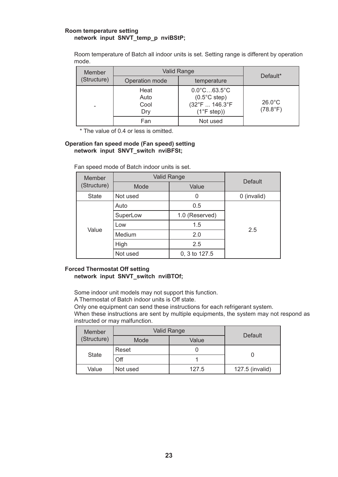#### **Room temperature setting network input SNVT\_temp\_p nviBStP;**

Room temperature of Batch all indoor units is set. Setting range is different by operation mode.

| Member      | Valid Range                 |                                                                                                                       |                                       |
|-------------|-----------------------------|-----------------------------------------------------------------------------------------------------------------------|---------------------------------------|
| (Structure) | Operation mode              | temperature                                                                                                           | Default*                              |
|             | Heat<br>Auto<br>Cool<br>Dry | $0.0^{\circ}$ C63.5 $^{\circ}$ C<br>$(0.5^{\circ}$ C step)<br>$(32^{\circ}F 146.3^{\circ}F)$<br>$(1^{\circ}$ F step)) | $26.0^{\circ}$ C<br>$(78.8^{\circ}F)$ |
|             | Fan                         | Not used                                                                                                              |                                       |

\* The value of 0.4 or less is omitted.

#### **Operation fan speed mode (Fan speed) setting network input SNVT\_switch nviBFSt;**

| Member<br>(Structure) | Valid Range   | <b>Default</b> |             |
|-----------------------|---------------|----------------|-------------|
|                       | Value<br>Mode |                |             |
| <b>State</b>          | Not used      | 0              | 0 (invalid) |
| Value                 | Auto          | 0.5            |             |
|                       | SuperLow      | 1.0 (Reserved) |             |
|                       | Low           | 1.5            | 2.5         |
|                       | Medium        | 2.0            |             |
|                       | High          | 2.5            |             |
|                       | Not used      | 0, 3 to 127.5  |             |

Fan speed mode of Batch indoor units is set.

#### **Forced Thermostat Off setting network input SNVT\_switch nviBTOf;**

Some indoor unit models may not support this function.

A Thermostat of Batch indoor units is Off state.

Only one equipment can send these instructions for each refrigerant system.

When these instructions are sent by multiple equipments, the system may not respond as instructed or may malfunction.

| Member       | Valid Range |       | Default         |  |
|--------------|-------------|-------|-----------------|--|
| (Structure)  | Mode        | Value |                 |  |
| <b>State</b> | Reset       |       |                 |  |
|              | Off         |       |                 |  |
| Value        | Not used    | 127.5 | 127.5 (invalid) |  |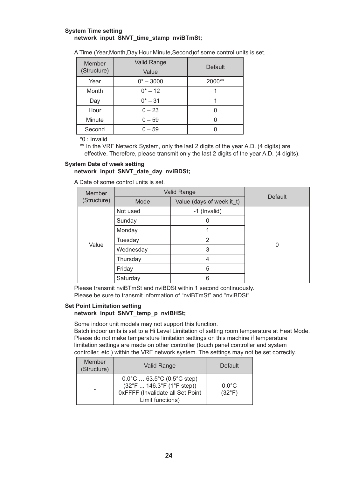#### **System Time setting network input SNVT\_time\_stamp nviBTmSt;**

A Time (Year,Month,Day,Hour,Minute,Second)of some control units is set.

| Member      | <b>Valid Range</b> | Default |  |
|-------------|--------------------|---------|--|
| (Structure) | Value              |         |  |
| Year        | $0^* - 3000$       | 2000**  |  |
| Month       | $0^* - 12$         |         |  |
| Day         | $0^* - 31$         |         |  |
| Hour        | $0 - 23$           |         |  |
| Minute      | $0 - 59$           |         |  |
| Second      | $0 - 59$           |         |  |

\*0 : Invalid

\*\* In the VRF Network System, only the last 2 digits of the year A.D. (4 digits) are effective. Therefore, please transmit only the last 2 digits of the year A.D. (4 digits).

#### **System Date of week setting network input SNVT\_date\_day nviBDSt;**

A Date of some control units is set.

| Member      | <b>Valid Range</b> |                           | <b>Default</b> |
|-------------|--------------------|---------------------------|----------------|
| (Structure) | Mode               | Value (days of week it_t) |                |
|             | Not used           | -1 (Invalid)              |                |
|             | Sunday             |                           |                |
| Value       | Monday             |                           | 0              |
|             | Tuesday            | 2                         |                |
|             | Wednesday          | 3                         |                |
|             | Thursday           | 4                         |                |
|             | Friday             | 5                         |                |
|             | Saturday           | 6                         |                |

Please transmit nviBTmSt and nviBDSt within 1 second continuously. Please be sure to transmit information of "nviBTmSt" and "nviBDSt".

#### **Set Point Limitation setting network input SNVT\_temp\_p nviBHSt;**

Some indoor unit models may not support this function.

Batch indoor units is set to a Hi Level Limitation of setting room temperature at Heat Mode. Please do not make temperature limitation settings on this machine if temperature limitation settings are made on other controller (touch panel controller and system controller, etc.) within the VRF network system. The settings may not be set correctly.

| Member<br>(Structure) | Valid Range                                                                                                                                       | Default                            |
|-----------------------|---------------------------------------------------------------------------------------------------------------------------------------------------|------------------------------------|
|                       | $0.0^{\circ}$ C  63.5°C (0.5°C step)<br>$(32^{\circ}F  146.3^{\circ}F (1^{\circ}F step))$<br>0xFFFF (Invalidate all Set Point<br>Limit functions) | $0.0^{\circ}$ C<br>$(32^{\circ}F)$ |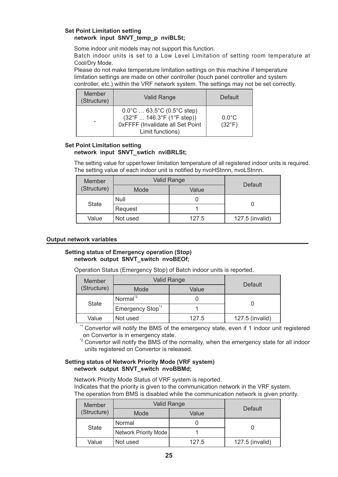#### **Set Point Limitation setting network input SNVT\_temp\_p nviBLSt;**

Some indoor unit models may not support this function.

Batch indoor units is set to a Low Level Limitation of setting room temperature at Cool/Dry Mode.

Please do not make temperature limitation settings on this machine if temperature limitation settings are made on other controller (touch panel controller and system controller, etc.) within the VRF network system. The settings may not be set correctly.

| Member<br>(Structure) | Valid Range                                                                                                                                       | Default                            |
|-----------------------|---------------------------------------------------------------------------------------------------------------------------------------------------|------------------------------------|
|                       | $0.0^{\circ}$ C  63.5°C (0.5°C step)<br>$(32^{\circ}F  146.3^{\circ}F (1^{\circ}F step))$<br>0xFFFF (Invalidate all Set Point<br>Limit functions) | $0.0^{\circ}$ C<br>$(32^{\circ}F)$ |

#### **Set Point Limitation setting network input SNVT\_swtich nviBRLSt;**

The setting value for upper/lower limitation temperature of all registered indoor units is required. The setting value of each indoor unit is notified by nvoHStnnn, nvoLStnnn.

| Member      | Valid Range |       |                 |
|-------------|-------------|-------|-----------------|
| (Structure) | Mode        | Value | Default         |
| State       | Null        |       |                 |
|             | Request     |       |                 |
| Value       | Not used    | 127.5 | 127.5 (invalid) |

#### **Output network variables**

#### **Setting status of Emergency operation (Stop) network output SNVT\_switch nvoBEOf;**

Operation Status (Emergency Stop) of Batch indoor units is reported.

| Member      | Valid Range                 |       | Default         |
|-------------|-----------------------------|-------|-----------------|
| (Structure) | Mode                        | Value |                 |
| State       | Normal <sup>*2</sup>        |       |                 |
|             | Emergency Stop <sup>1</sup> |       |                 |
| Value       | Not used                    | 127.5 | 127.5 (invalid) |

\*1 Convertor will notify the BMS of the emergency state, even if 1 indoor unit registered on Convertor is in emergency state.

<sup>2</sup> Convertor will notify the BMS of the normality, when the emergency state for all indoor units registered on Convertor is released.

#### **Setting status of Network Priority Mode (VRF system) network output SNVT\_switch nvoBBMd;**

Network Priority Mode Status of VRF system is reported.

Indicates that the priority is given to the communication network in the VRF system. The operation from BMS is disabled while the communication network is given priority.

| Member      | <b>Valid Range</b>    |       | Default         |
|-------------|-----------------------|-------|-----------------|
| (Structure) | Mode                  | Value |                 |
| State       | Normal                |       |                 |
|             | Network Priority Mode |       |                 |
| Value       | Not used              | 127.5 | 127.5 (invalid) |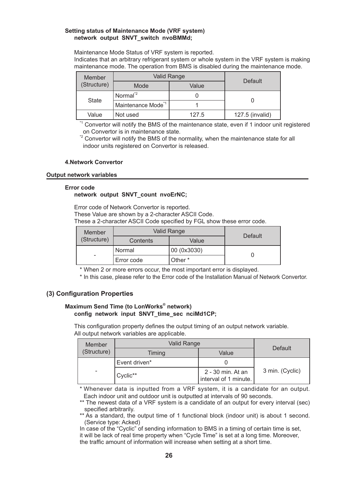#### <span id="page-27-0"></span>**Setting status of Maintenance Mode (VRF system) network output SNVT\_switch nvoBMMd;**

Maintenance Mode Status of VRF system is reported. Indicates that an arbitrary refrigerant system or whole system in the VRF system is making maintenance mode. The operation from BMS is disabled during the maintenance mode.

| Member      | Valid Range                    |       | Default         |
|-------------|--------------------------------|-------|-----------------|
| (Structure) | Mode                           | Value |                 |
| State       | Normal <sup>*2</sup>           |       |                 |
|             | Maintenance Mode <sup>*1</sup> |       |                 |
| Value       | Not used                       | 127.5 | 127.5 (invalid) |

\*1 Convertor will notify the BMS of the maintenance state, even if 1 indoor unit registered on Convertor is in maintenance state.

<sup>2</sup> Convertor will notify the BMS of the normality, when the maintenance state for all indoor units registered on Convertor is released.

#### **4.Network Convertor**

#### **Output network variables**

#### **Error code**

#### **network output SNVT\_count nvoErNC;**

Error code of Network Convertor is reported.

These Value are shown by a 2-character ASCII Code.

These a 2-character ASCII Code specified by FGL show these error code.

| Member      | Valid Range |             | Default |
|-------------|-------------|-------------|---------|
| (Structure) | Contents    | Value       |         |
|             | Normal      | 00 (0x3030) |         |
| -           | Error code  | Other *     |         |

\* When 2 or more errors occur, the most important error is displayed.

\* In this case, please refer to the Error code of the Installation Manual of Network Convertor.

#### **(3) Configuration Properties**

#### **Maximum Send Time (to LonWorks® network) config network input SNVT\_time\_sec nciMd1CP;**

This configuration property defines the output timing of an output network variable. All output network variables are applicable.

| Member                   | <b>Valid Range</b> |                                            | Default         |
|--------------------------|--------------------|--------------------------------------------|-----------------|
| (Structure)              | Timing             | Value                                      |                 |
|                          | Event driven*      |                                            |                 |
| $\overline{\phantom{a}}$ | Cyclic**           | 2 - 30 min. At an<br>interval of 1 minute. | 3 min. (Cyclic) |

\* Whenever data is inputted from a VRF system, it is a candidate for an output. Each indoor unit and outdoor unit is outputted at intervals of 90 seconds.

\*\* The newest data of a VRF system is a candidate of an output for every interval (sec) specified arbitrarily.

\*\* As a standard, the output time of 1 functional block (indoor unit) is about 1 second. (Service type: Acked)

In case of the "Cyclic" of sending information to BMS in a timing of certain time is set, it will be lack of real time property when "Cycle Time" is set at a long time. Moreover, the traffic amount of information will increase when setting at a short time.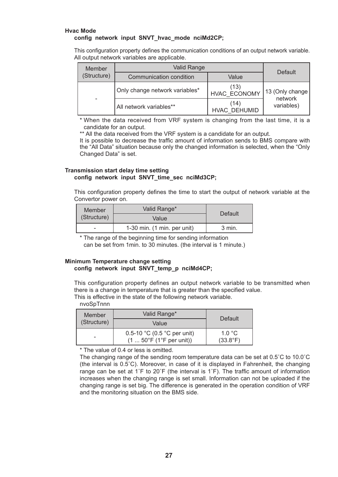#### **Hvac Mode config network input SNVT\_hvac\_mode nciMd2CP;**

This configuration property defines the communication conditions of an output network variable. All output network variables are applicable.

| Member      | Valid Range                    |                             | Default                     |
|-------------|--------------------------------|-----------------------------|-----------------------------|
| (Structure) | Communication condition        | Value                       |                             |
|             | Only change network variables* | (13)<br><b>HVAC ECONOMY</b> | 13 (Only change)<br>network |
|             | All network variables**        | (14)<br>HVAC DEHUMID        | variables)                  |

\* When the data received from VRF system is changing from the last time, it is a candidate for an output.

\*\* All the data received from the VRF system is a candidate for an output.

It is possible to decrease the traffic amount of information sends to BMS compare with the "All Data" situation because only the changed information is selected, when the "Only Changed Data" is set.

#### **Transmission start delay time setting config network input SNVT\_time\_sec nciMd3CP;**

This configuration property defines the time to start the output of network variable at the Convertor power on.

| Member      | Valid Range*                            | Default |
|-------------|-----------------------------------------|---------|
| (Structure) | Value                                   |         |
|             | $1-30$ min. $(1 \text{ min. per unit})$ | 3 min.  |

\* The range of the beginning time for sending information

can be set from 1min. to 30 minutes. (the interval is 1 minute.)

#### **Minimum Temperature change setting config network input SNVT\_temp\_p nciMd4CP;**

This configuration property defines an output network variable to be transmitted when there is a change in temperature that is greater than the specified value. This is effective in the state of the following network variable.

nvoSpTnnn

| Member<br>(Structure) | Valid Range*                                                            | Default                     |
|-----------------------|-------------------------------------------------------------------------|-----------------------------|
|                       | Value                                                                   |                             |
|                       | 0.5-10 °C (0.5 °C per unit)<br>$(1  50^{\circ}F (1^{\circ}F per unit))$ | 1.0 °C<br>$(33.8^{\circ}F)$ |

\* The value of 0.4 or less is omitted.

The changing range of the sending room temperature data can be set at 0.5˚C to 10.0˚C (the interval is 0.5˚C). Moreover, in case of it is displayed in Fahrenheit, the changing range can be set at  $1\textdegree$  F to  $20\textdegree$  (the interval is  $1\textdegree$ ). The traffic amount of information increases when the changing range is set small. Information can not be uploaded if the changing range is set big. The difference is generated in the operation condition of VRF and the monitoring situation on the BMS side.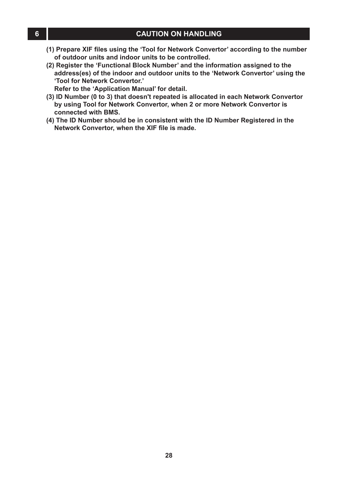- <span id="page-29-0"></span>**(1) Prepare XIF files using the 'Tool for Network Convertor' according to the number of outdoor units and indoor units to be controlled.**
- **(2) Register the 'Functional Block Number' and the information assigned to the address(es) of the indoor and outdoor units to the 'Network Convertor' using the 'Tool for Network Convertor.'**
- **Refer to the 'Application Manual' for detail.**
- **(3) ID Number (0 to 3) that doesn't repeated is allocated in each Network Convertor by using Tool for Network Convertor, when 2 or more Network Convertor is connected with BMS.**
- **(4) The ID Number should be in consistent with the ID Number Registered in the Network Convertor, when the XIF file is made.**